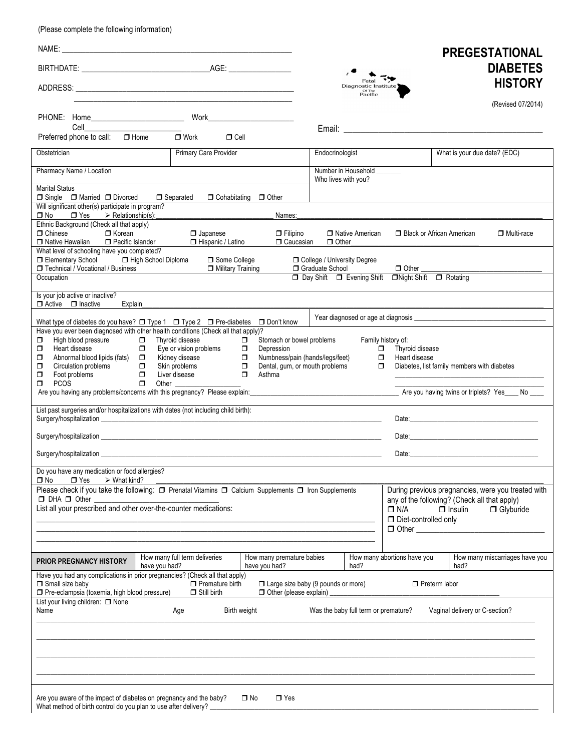(Please complete the following information)

|                                                                                                                                                                                                                                                                                                                           |                                                                                                        |                                                                                                                                                                          |                               |                                           |                                                                                   |                                                                | <b>PREGESTATIONAL</b>                                                                                                                                                                                                          |
|---------------------------------------------------------------------------------------------------------------------------------------------------------------------------------------------------------------------------------------------------------------------------------------------------------------------------|--------------------------------------------------------------------------------------------------------|--------------------------------------------------------------------------------------------------------------------------------------------------------------------------|-------------------------------|-------------------------------------------|-----------------------------------------------------------------------------------|----------------------------------------------------------------|--------------------------------------------------------------------------------------------------------------------------------------------------------------------------------------------------------------------------------|
|                                                                                                                                                                                                                                                                                                                           |                                                                                                        |                                                                                                                                                                          |                               | Fetal                                     |                                                                                   |                                                                | <b>DIABETES</b><br><b>HISTORY</b>                                                                                                                                                                                              |
|                                                                                                                                                                                                                                                                                                                           |                                                                                                        |                                                                                                                                                                          |                               | Diagnostic Institute<br>or The<br>Pacific |                                                                                   |                                                                |                                                                                                                                                                                                                                |
| PHONE: Home__________________________                                                                                                                                                                                                                                                                                     |                                                                                                        |                                                                                                                                                                          |                               |                                           |                                                                                   |                                                                | (Revised 07/2014)                                                                                                                                                                                                              |
| Cell<br>Preferred phone to call:<br>$\Box$ Home                                                                                                                                                                                                                                                                           | $\Box$ Work<br>$\Box$ Cell                                                                             |                                                                                                                                                                          |                               |                                           |                                                                                   |                                                                |                                                                                                                                                                                                                                |
| Obstetrician                                                                                                                                                                                                                                                                                                              | <b>Primary Care Provider</b>                                                                           |                                                                                                                                                                          | Endocrinologist               |                                           |                                                                                   | What is your due date? (EDC)                                   |                                                                                                                                                                                                                                |
| Pharmacy Name / Location                                                                                                                                                                                                                                                                                                  |                                                                                                        |                                                                                                                                                                          | Who lives with you?           | Number in Household ______                |                                                                                   |                                                                |                                                                                                                                                                                                                                |
| <b>Marital Status</b><br>$\Box$ Single $\Box$ Married $\Box$ Divorced                                                                                                                                                                                                                                                     | □ Separated                                                                                            | $\Box$ Cohabitating $\Box$ Other                                                                                                                                         |                               |                                           |                                                                                   |                                                                |                                                                                                                                                                                                                                |
| Will significant other(s) participate in program?<br>$\Box$ No $\Box$ Yes $\triangleright$ Relationship(s):                                                                                                                                                                                                               |                                                                                                        | Names:                                                                                                                                                                   |                               |                                           |                                                                                   |                                                                |                                                                                                                                                                                                                                |
| Ethnic Background (Check all that apply)<br>$\Box$ Chinese<br>$\Box$ Korean<br>□ Native Hawaiian □ Pacific Islander                                                                                                                                                                                                       | $\Box$ Japanese<br>□ Hispanic / Latino                                                                 | $\Box$ Filipino<br><b>O</b> Caucasian                                                                                                                                    | $\Box$ Other                  | □ Native American                         |                                                                                   | <b>Black or African American</b>                               | □ Multi-race                                                                                                                                                                                                                   |
| What level of schooling have you completed?<br>Elementary School Diploma<br>Technical / Vocational / Business                                                                                                                                                                                                             | □ Some College<br>Military Training                                                                    |                                                                                                                                                                          | □ College / University Degree | Graduate School                           | $\Box$ Other                                                                      |                                                                |                                                                                                                                                                                                                                |
| Occupation                                                                                                                                                                                                                                                                                                                |                                                                                                        |                                                                                                                                                                          |                               |                                           | D Day Shift D Evening Shift DNight Shift D Rotating                               |                                                                |                                                                                                                                                                                                                                |
| Is your job active or inactive?<br>$\Box$ Active $\Box$ Inactive<br>Explain                                                                                                                                                                                                                                               |                                                                                                        |                                                                                                                                                                          |                               |                                           |                                                                                   |                                                                |                                                                                                                                                                                                                                |
| What type of diabetes do you have? $\Box$ Type 1 $\Box$ Type 2 $\Box$ Pre-diabetes $\Box$ Don't know                                                                                                                                                                                                                      |                                                                                                        |                                                                                                                                                                          |                               |                                           |                                                                                   |                                                                |                                                                                                                                                                                                                                |
| Have you ever been diagnosed with other health conditions (Check all that apply)?<br>High blood pressure<br>$\Box$<br>$\Box$<br>Heart disease<br>$\Box$<br>σ<br>Abnormal blood lipids (fats) $\square$<br>σ<br>Circulation problems<br>Foot problems<br>PCOS<br>$\Box$<br>σ<br>$\Box$<br>σ<br><b>PCOS</b><br>$\Box$<br>Ω. | Thyroid disease<br>Eye or vision problems<br>Kidney disease<br>Skin problems<br>Liver disease<br>Other | Stomach or bowel problems<br>$\Box$<br>Depression<br>$\Box$<br>Numbness/pain (hands/legs/feet)<br>$\Box$<br>$\Box$<br>Dental, gum, or mouth problems<br>$\Box$<br>Asthma |                               |                                           | Family history of:<br>$\Box$ Thyroid disease<br>$\Box$<br>Heart disease<br>$\Box$ | Diabetes, list family members with diabetes                    |                                                                                                                                                                                                                                |
|                                                                                                                                                                                                                                                                                                                           |                                                                                                        |                                                                                                                                                                          |                               |                                           |                                                                                   |                                                                |                                                                                                                                                                                                                                |
| List past surgeries and/or hospitalizations with dates (not including child birth):                                                                                                                                                                                                                                       |                                                                                                        |                                                                                                                                                                          |                               |                                           |                                                                                   |                                                                | Date: Note: The Contract of the Contract of the Contract of the Contract of the Contract of the Contract of the Contract of the Contract of the Contract of the Contract of the Contract of the Contract of the Contract of th |
|                                                                                                                                                                                                                                                                                                                           |                                                                                                        |                                                                                                                                                                          |                               |                                           |                                                                                   |                                                                | Date: Note: The Contract of the Contract of the Contract of the Contract of the Contract of the Contract of the Contract of the Contract of the Contract of the Contract of the Contract of the Contract of the Contract of th |
|                                                                                                                                                                                                                                                                                                                           |                                                                                                        |                                                                                                                                                                          |                               |                                           |                                                                                   |                                                                | Date: the contract of the contract of the contract of the contract of the contract of the contract of the contract of the contract of the contract of the contract of the contract of the contract of the contract of the cont |
| Do you have any medication or food allergies?<br>$\Box$ Yes<br>$\triangleright$ What kind?<br>□ No                                                                                                                                                                                                                        |                                                                                                        |                                                                                                                                                                          |                               |                                           |                                                                                   |                                                                |                                                                                                                                                                                                                                |
| Please check if you take the following: □ Prenatal Vitamins □ Calcium Supplements □ Iron Supplements<br>$\Box$ DHA $\Box$ Other<br>List all your prescribed and other over-the-counter medications:                                                                                                                       |                                                                                                        |                                                                                                                                                                          |                               |                                           | $\Box$ N/A<br>Diet-controlled only                                                | any of the following? (Check all that apply)<br>$\Box$ Insulin | During previous pregnancies, were you treated with<br><b>O</b> Glyburide                                                                                                                                                       |
| <b>PRIOR PREGNANCY HISTORY</b><br>have you had?                                                                                                                                                                                                                                                                           | How many full term deliveries                                                                          | How many premature babies<br>have you had?                                                                                                                               |                               | had?                                      | How many abortions have you                                                       | had?                                                           | How many miscarriages have you                                                                                                                                                                                                 |
| Have you had any complications in prior pregnancies? (Check all that apply)<br>Small size baby<br>Pre-eclampsia (toxemia, high blood pressure)                                                                                                                                                                            | $\Box$ Premature birth<br>$\Box$ Still birth                                                           | $\Box$ Large size baby (9 pounds or more)<br>Other (please explain)                                                                                                      |                               |                                           |                                                                                   | $\Box$ Preterm labor                                           |                                                                                                                                                                                                                                |
| List your living children: [ None<br>Name                                                                                                                                                                                                                                                                                 | Birth weight<br>Age                                                                                    |                                                                                                                                                                          |                               | Was the baby full term or premature?      |                                                                                   | Vaginal delivery or C-section?                                 |                                                                                                                                                                                                                                |
|                                                                                                                                                                                                                                                                                                                           |                                                                                                        |                                                                                                                                                                          |                               |                                           |                                                                                   |                                                                |                                                                                                                                                                                                                                |
|                                                                                                                                                                                                                                                                                                                           |                                                                                                        |                                                                                                                                                                          |                               |                                           |                                                                                   |                                                                |                                                                                                                                                                                                                                |
|                                                                                                                                                                                                                                                                                                                           |                                                                                                        |                                                                                                                                                                          |                               |                                           |                                                                                   |                                                                |                                                                                                                                                                                                                                |
|                                                                                                                                                                                                                                                                                                                           |                                                                                                        |                                                                                                                                                                          |                               |                                           |                                                                                   |                                                                |                                                                                                                                                                                                                                |
| Are you aware of the impact of diabetes on pregnancy and the baby?<br>What method of birth control do you plan to use after delivery?                                                                                                                                                                                     |                                                                                                        | $\Box$ Yes<br>□ No                                                                                                                                                       |                               |                                           |                                                                                   |                                                                |                                                                                                                                                                                                                                |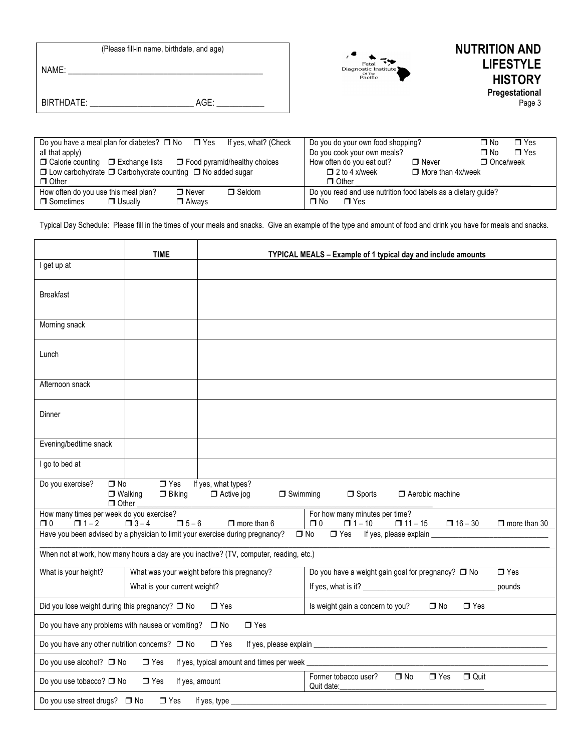| (Please fill-in name, birthdate, and age) | <b>NUTRITION AND</b><br><b>LIFESTYLE</b><br>Fetal           |
|-------------------------------------------|-------------------------------------------------------------|
| NAME:                                     | Diagnostic Institute<br>Of The<br>Pacific<br><b>HISTORY</b> |
| AGE:<br>BIRTHDATE:                        | <b>Pregestational</b><br>Page 3                             |
|                                           |                                                             |

| Do you have a meal plan for diabetes? $\Box$ No $\Box$ Yes<br>If yes, what? (Check | $\Box$ Yes<br>Do you do your own food shopping?<br>∩ No       |
|------------------------------------------------------------------------------------|---------------------------------------------------------------|
| all that apply)                                                                    | Do you cook your own meals?<br>$\Box$ Yes<br>∩ No             |
| $\Box$ Calorie counting $\Box$ Exchange lists $\Box$ Food pyramid/healthy choices  | How often do you eat out?<br>$\Box$ Once/week<br>$\Box$ Never |
| $\Box$ Low carbohydrate $\Box$ Carbohydrate counting $\Box$ No added sugar         | $\Box$ 2 to 4 x/week<br>$\Box$ More than 4x/week              |
| $\Box$ Other                                                                       | $\Box$ Other                                                  |
| How often do you use this meal plan?<br>$\Box$ Seldom<br>$\Box$ Never              | Do you read and use nutrition food labels as a dietary guide? |
| □ Sometimes<br>□ Always<br>$\Box$ Usually                                          | ∩ No<br>$\blacksquare$ Yes                                    |

Typical Day Schedule: Please fill in the times of your meals and snacks. Give an example of the type and amount of food and drink you have for meals and snacks.

|                                                                                                                                          | <b>TIME</b><br>TYPICAL MEALS - Example of 1 typical day and include amounts |                                                                                        |                                                                                                                        |  |  |
|------------------------------------------------------------------------------------------------------------------------------------------|-----------------------------------------------------------------------------|----------------------------------------------------------------------------------------|------------------------------------------------------------------------------------------------------------------------|--|--|
| I get up at                                                                                                                              |                                                                             |                                                                                        |                                                                                                                        |  |  |
| <b>Breakfast</b>                                                                                                                         |                                                                             |                                                                                        |                                                                                                                        |  |  |
| Morning snack                                                                                                                            |                                                                             |                                                                                        |                                                                                                                        |  |  |
| Lunch                                                                                                                                    |                                                                             |                                                                                        |                                                                                                                        |  |  |
| Afternoon snack                                                                                                                          |                                                                             |                                                                                        |                                                                                                                        |  |  |
| Dinner                                                                                                                                   |                                                                             |                                                                                        |                                                                                                                        |  |  |
| Evening/bedtime snack                                                                                                                    |                                                                             |                                                                                        |                                                                                                                        |  |  |
| I go to bed at                                                                                                                           |                                                                             |                                                                                        |                                                                                                                        |  |  |
| Do you exercise?<br>$\Box$ No<br>$\Box$ Other                                                                                            | $\Box$ Yes<br>$\Box$ Walking<br>$\Box$ Biking                               | If yes, what types?<br>$\Box$ Swimming<br>$\Box$ Active jog                            | $\Box$ Sports<br>Aerobic machine                                                                                       |  |  |
| How many times per week do you exercise?<br>$\Box$ 1 – 2                                                                                 | $\Box$ 5 - 6<br>$\Box$ 3 – 4                                                | $\Box$ more than 6                                                                     | For how many minutes per time?<br>$\Box$ 0<br>$\Box$ 1 – 10<br>$\Box$ 11 – 15<br>$\Box$ 16 - 30<br>$\Box$ more than 30 |  |  |
| □ 0                                                                                                                                      |                                                                             | Have you been advised by a physician to limit your exercise during pregnancy?          | If yes, please explain __<br>$\Box$ No<br>$\Box$ Yes                                                                   |  |  |
|                                                                                                                                          |                                                                             | When not at work, how many hours a day are you inactive? (TV, computer, reading, etc.) |                                                                                                                        |  |  |
| What is your height?                                                                                                                     |                                                                             | What was your weight before this pregnancy?                                            | Do you have a weight gain goal for pregnancy? [ No<br>$\Box$ Yes                                                       |  |  |
|                                                                                                                                          | What is your current weight?                                                |                                                                                        | pounds                                                                                                                 |  |  |
| Did you lose weight during this pregnancy? □ No<br>$\Box$ Yes<br>Is weight gain a concern to you?<br>$\Box$ No<br>$\Box$ Yes             |                                                                             |                                                                                        |                                                                                                                        |  |  |
| Do you have any problems with nausea or vomiting? □ No<br>$\Box$ Yes                                                                     |                                                                             |                                                                                        |                                                                                                                        |  |  |
| Do you have any other nutrition concerns? $\Box$ No<br>$\Box$ Yes<br>If yes, please explain _                                            |                                                                             |                                                                                        |                                                                                                                        |  |  |
| Do you use alcohol? □ No<br>If yes, typical amount and times per week<br>$\Box$ Yes                                                      |                                                                             |                                                                                        |                                                                                                                        |  |  |
| Former tobacco user?<br>$\Box$ No<br>$\Box$ Yes<br>$\Box$ Quit<br>Do you use tobacco? □ No<br>$\Box$ Yes<br>If yes, amount<br>Quit date: |                                                                             |                                                                                        |                                                                                                                        |  |  |
| Do you use street drugs? □ No                                                                                                            | $\Box$ Yes                                                                  | If yes, type                                                                           |                                                                                                                        |  |  |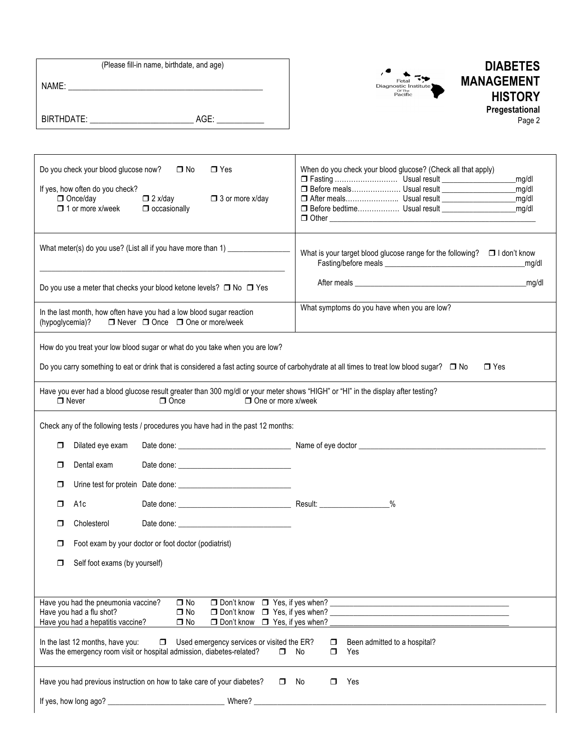| (Please fill-in name, birthdate, and age) |  |  |  |  |  |
|-------------------------------------------|--|--|--|--|--|
| NAME:                                     |  |  |  |  |  |
|                                           |  |  |  |  |  |
|                                           |  |  |  |  |  |
| BIRTHDATE:<br>AGE:                        |  |  |  |  |  |



## **DIABETES MANAGEMENT HISTORY Pregestational** Page 2

| Do you check your blood glucose now?<br>$\Box$ No<br>$\Box$ Yes<br>If yes, how often do you check?<br>□ Once/day<br>$\Box$ 2 x/day<br>$\Box$ 3 or more x/day<br>$\Box$ 1 or more x/week<br>$\Box$ occasionally                                                                                                                                                                                                            | When do you check your blood glucose? (Check all that apply)<br>_mg/dl<br>□ Before meals Usual result ______________________________<br>mg/dl<br>_mg/dl<br>ma/dl |  |  |  |
|---------------------------------------------------------------------------------------------------------------------------------------------------------------------------------------------------------------------------------------------------------------------------------------------------------------------------------------------------------------------------------------------------------------------------|------------------------------------------------------------------------------------------------------------------------------------------------------------------|--|--|--|
| What meter(s) do you use? (List all if you have more than 1)                                                                                                                                                                                                                                                                                                                                                              | What is your target blood glucose range for the following? $\Box$ I don't know<br>mg/dl                                                                          |  |  |  |
| Do you use a meter that checks your blood ketone levels? $\Box$ No $\Box$ Yes                                                                                                                                                                                                                                                                                                                                             | After meals may be a series of the matter of the matter of the matter of the matter of the matter of the matter                                                  |  |  |  |
| In the last month, how often have you had a low blood sugar reaction<br>$\Box$ Never $\Box$ Once $\Box$ One or more/week<br>(hypoglycemia)?                                                                                                                                                                                                                                                                               | What symptoms do you have when you are low?                                                                                                                      |  |  |  |
| How do you treat your low blood sugar or what do you take when you are low?<br>Do you carry something to eat or drink that is considered a fast acting source of carbohydrate at all times to treat low blood sugar? □ No<br>Have you ever had a blood glucose result greater than 300 mg/dl or your meter shows "HIGH" or "HI" in the display after testing?<br>$\Box$ One or more x/week<br>$\Box$ Never<br>$\Box$ Once | $\Box$ Yes                                                                                                                                                       |  |  |  |
| Check any of the following tests / procedures you have had in the past 12 months:                                                                                                                                                                                                                                                                                                                                         | Date done: <u>Date done</u> by a structure of the Mame of eye doctor                                                                                             |  |  |  |
| Dilated eye exam<br>◻<br>Dental exam<br>Date done: the contract of the contract of the contract of the contract of the contract of the contract of the contract of the contract of the contract of the contract of the contract of the contract of the contract of the<br>◻                                                                                                                                               |                                                                                                                                                                  |  |  |  |
| ◻                                                                                                                                                                                                                                                                                                                                                                                                                         |                                                                                                                                                                  |  |  |  |
| A1c<br>π                                                                                                                                                                                                                                                                                                                                                                                                                  | $\%$                                                                                                                                                             |  |  |  |
| Cholesterol<br>σ<br>Date done: New York State Contract on the Contract of the Contract of the Contract of the Contract of the Contract of the Contract of the Contract of the Contract of the Contract of the Contract of the Contract of the Cont                                                                                                                                                                        |                                                                                                                                                                  |  |  |  |
| Foot exam by your doctor or foot doctor (podiatrist)<br>◻                                                                                                                                                                                                                                                                                                                                                                 |                                                                                                                                                                  |  |  |  |
| Self foot exams (by yourself)<br>□                                                                                                                                                                                                                                                                                                                                                                                        |                                                                                                                                                                  |  |  |  |
|                                                                                                                                                                                                                                                                                                                                                                                                                           |                                                                                                                                                                  |  |  |  |
| Have you had the pneumonia vaccine?<br>$\Box$ No<br>$\Box$ Don't know<br>Have you had a flu shot?<br>$\Box$ No<br>$\Box$ Don't know<br>Have you had a hepatitis vaccine?<br>$\Box$ No<br>$\Box$ Don't know                                                                                                                                                                                                                | $\Box$ Yes, if yes when?<br>$\Box$ Yes, if yes when? _<br>$\Box$ Yes, if yes when?                                                                               |  |  |  |
| In the last 12 months, have you:<br>Used emergency services or visited the ER?<br>α.<br>Was the emergency room visit or hospital admission, diabetes-related?<br>α.                                                                                                                                                                                                                                                       | Been admitted to a hospital?<br>$\Box$<br>No<br>$\Box$<br>Yes                                                                                                    |  |  |  |
| Have you had previous instruction on how to take care of your diabetes?<br>$\Box$                                                                                                                                                                                                                                                                                                                                         | No<br>Yes<br>0.                                                                                                                                                  |  |  |  |
|                                                                                                                                                                                                                                                                                                                                                                                                                           |                                                                                                                                                                  |  |  |  |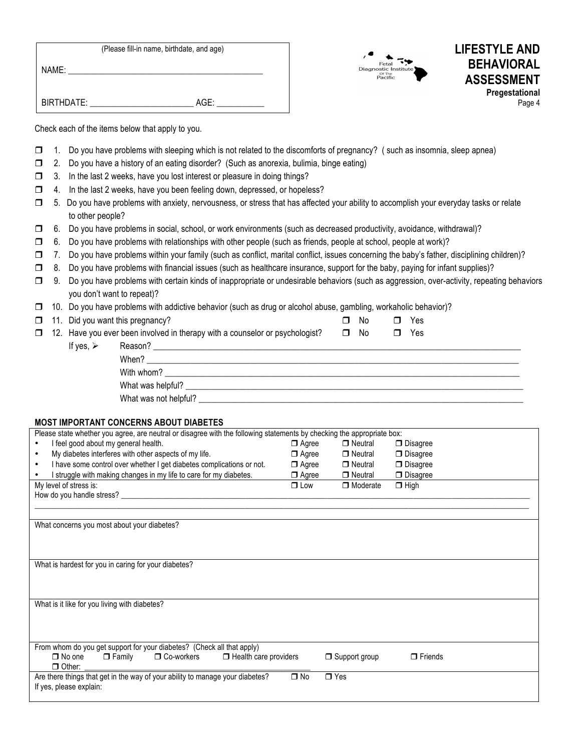| (Please fill-in name, birthdate, and age) |      |  |  |  |  |
|-------------------------------------------|------|--|--|--|--|
| NAME:                                     |      |  |  |  |  |
|                                           |      |  |  |  |  |
| BIRTHDATE:                                | AGE: |  |  |  |  |





Check each of the items below that apply to you.

- $\Box$  1. Do you have problems with sleeping which is not related to the discomforts of pregnancy? (such as insomnia, sleep apnea)
- $\Box$  2. Do you have a history of an eating disorder? (Such as anorexia, bulimia, binge eating)
- $\Box$  3. In the last 2 weeks, have you lost interest or pleasure in doing things?
- $\Box$  4. In the last 2 weeks, have you been feeling down, depressed, or hopeless?
- $\Box$  5. Do you have problems with anxiety, nervousness, or stress that has affected your ability to accomplish your everyday tasks or relate to other people?
- ! 6. Do you have problems in social, school, or work environments (such as decreased productivity, avoidance, withdrawal)?
- $\Box$  6. Do you have problems with relationships with other people (such as friends, people at school, people at work)?
- $\Box$  7. Do you have problems within your family (such as conflict, marital conflict, issues concerning the baby's father, disciplining children)?
- $\Box$  8. Do you have problems with financial issues (such as healthcare insurance, support for the baby, paying for infant supplies)?
- □ 9. Do you have problems with certain kinds of inappropriate or undesirable behaviors (such as aggression, over-activity, repeating behaviors you don't want to repeat)?
- $\Box$  10. Do you have problems with addictive behavior (such as drug or alcohol abuse, gambling, workaholic behavior)?

What was not helpful? \_\_\_\_\_\_\_\_\_\_\_\_\_\_\_\_\_\_\_\_\_\_\_\_\_\_\_\_\_\_\_\_\_\_\_\_\_\_\_\_\_\_\_\_\_\_\_\_\_\_\_\_\_\_\_\_\_\_\_\_\_\_\_\_\_\_\_\_\_\_\_\_\_\_\_

|                                                                                     |                          | $\Box$ 11. Did you want this pregnancy?                                                                                                                                                                                        | $\Box$    | No. | $\Box$ Yes |  |  |
|-------------------------------------------------------------------------------------|--------------------------|--------------------------------------------------------------------------------------------------------------------------------------------------------------------------------------------------------------------------------|-----------|-----|------------|--|--|
| $\Box$ 12. Have you ever been involved in therapy with a counselor or psychologist? |                          |                                                                                                                                                                                                                                | $\Box$ No |     | $\Box$ Yes |  |  |
|                                                                                     | If yes, $\triangleright$ | Reason? The contract of the contract of the contract of the contract of the contract of the contract of the contract of the contract of the contract of the contract of the contract of the contract of the contract of the co |           |     |            |  |  |
|                                                                                     |                          | When?                                                                                                                                                                                                                          |           |     |            |  |  |
|                                                                                     |                          | With whom?                                                                                                                                                                                                                     |           |     |            |  |  |
|                                                                                     |                          | What was helpful?                                                                                                                                                                                                              |           |     |            |  |  |

## **MOST IMPORTANT CONCERNS ABOUT DIABETES**

| ם ושטרום וסטטרו טטווטב וזורוט וואו וטטוו                                                                               |              |                      |                 |  |  |  |  |
|------------------------------------------------------------------------------------------------------------------------|--------------|----------------------|-----------------|--|--|--|--|
| Please state whether you agree, are neutral or disagree with the following statements by checking the appropriate box: |              |                      |                 |  |  |  |  |
| I feel good about my general health.                                                                                   | $\Box$ Agree | □ Neutral            | $\Box$ Disagree |  |  |  |  |
| My diabetes interferes with other aspects of my life.<br>$\bullet$                                                     | $\Box$ Agree | $\Box$ Neutral       | $\Box$ Disagree |  |  |  |  |
| I have some control over whether I get diabetes complications or not.<br>٠                                             | $\Box$ Agree | □ Neutral            | $\Box$ Disagree |  |  |  |  |
| I struggle with making changes in my life to care for my diabetes.                                                     | $\Box$ Agree | $\Box$ Neutral       | $\Box$ Disagree |  |  |  |  |
| My level of stress is:                                                                                                 | $\Box$ Low   | $\Box$ Moderate      | $\Box$ High     |  |  |  |  |
| How do you handle stress?                                                                                              |              |                      |                 |  |  |  |  |
|                                                                                                                        |              |                      |                 |  |  |  |  |
|                                                                                                                        |              |                      |                 |  |  |  |  |
| What concerns you most about your diabetes?                                                                            |              |                      |                 |  |  |  |  |
|                                                                                                                        |              |                      |                 |  |  |  |  |
|                                                                                                                        |              |                      |                 |  |  |  |  |
|                                                                                                                        |              |                      |                 |  |  |  |  |
| What is hardest for you in caring for your diabetes?                                                                   |              |                      |                 |  |  |  |  |
|                                                                                                                        |              |                      |                 |  |  |  |  |
|                                                                                                                        |              |                      |                 |  |  |  |  |
| What is it like for you living with diabetes?                                                                          |              |                      |                 |  |  |  |  |
|                                                                                                                        |              |                      |                 |  |  |  |  |
|                                                                                                                        |              |                      |                 |  |  |  |  |
|                                                                                                                        |              |                      |                 |  |  |  |  |
| From whom do you get support for your diabetes? (Check all that apply)                                                 |              |                      |                 |  |  |  |  |
| $\Box$ Health care providers<br>$\Box$ No one<br>□ Family □ Co-workers                                                 |              | $\Box$ Support group | $\Box$ Friends  |  |  |  |  |
| $\Box$ Other:                                                                                                          |              |                      |                 |  |  |  |  |
| Are there things that get in the way of your ability to manage your diabetes?                                          | $\Box$ No    | $\Box$ Yes           |                 |  |  |  |  |
| If yes, please explain:                                                                                                |              |                      |                 |  |  |  |  |
|                                                                                                                        |              |                      |                 |  |  |  |  |
|                                                                                                                        |              |                      |                 |  |  |  |  |